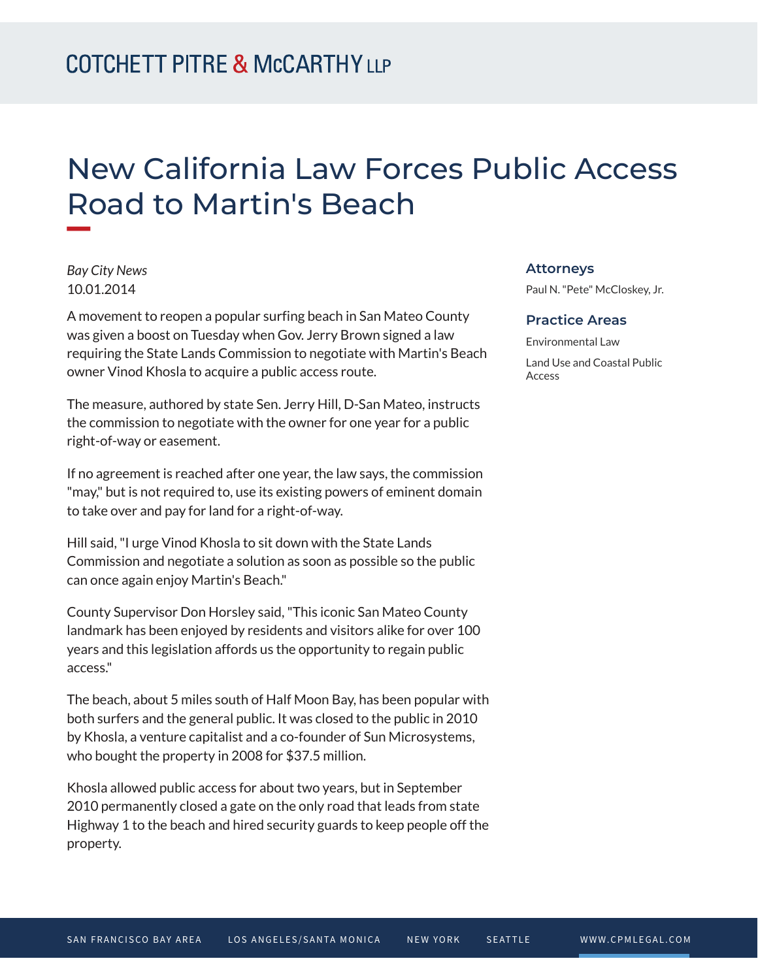# New California Law Forces Public Access Road to Martin's Beach

*Bay City News* 10.01.2014

**William** 

A movement to reopen a popular surfing beach in San Mateo County was given a boost on Tuesday when Gov. Jerry Brown signed a law requiring the State Lands Commission to negotiate with Martin's Beach owner Vinod Khosla to acquire a public access route.

The measure, authored by state Sen. Jerry Hill, D-San Mateo, instructs the commission to negotiate with the owner for one year for a public right-of-way or easement.

If no agreement is reached after one year, the law says, the commission "may," but is not required to, use its existing powers of eminent domain to take over and pay for land for a right-of-way.

Hill said, "I urge Vinod Khosla to sit down with the State Lands Commission and negotiate a solution as soon as possible so the public can once again enjoy Martin's Beach."

County Supervisor Don Horsley said, "This iconic San Mateo County landmark has been enjoyed by residents and visitors alike for over 100 years and this legislation affords us the opportunity to regain public access."

The beach, about 5 miles south of Half Moon Bay, has been popular with both surfers and the general public. It was closed to the public in 2010 by Khosla, a venture capitalist and a co-founder of Sun Microsystems, who bought the property in 2008 for \$37.5 million.

Khosla allowed public access for about two years, but in September 2010 permanently closed a gate on the only road that leads from state Highway 1 to the beach and hired security guards to keep people off the property.

#### **Attorneys**

Paul N. "Pete" McCloskey, Jr.

#### **Practice Areas**

Environmental Law Land Use and Coastal Public Access